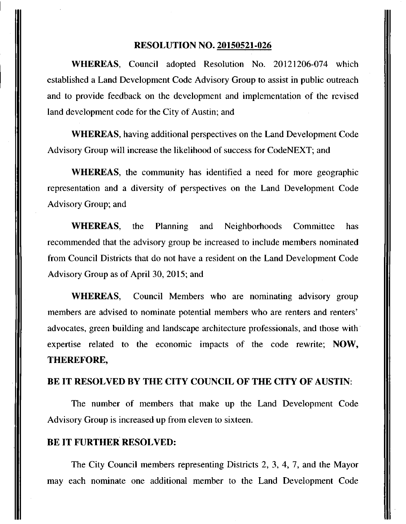#### **RESOLUTION NO. 20150521-026**

WHEREAS, Council adopted Resolution No. 20121206-074 which established a Land Development Code Advisory Group to assist in public outreach and to provide feedback on the development and implementation of the revised land development code for the City of Austin; and

WHEREAS, having additional perspectives on the Land Development Code Advisory Group will increase the likelihood of success for CodeNEXT; and

WHEREAS, the community has identified a need for more geographic representation and a diversity of perspectives on the Land Development Code Advisory Group; and

WHEREAS, the Planning and Neighborhoods Committee has recommended that the advisory group be increased to include members nominated from Council Districts that do not have a resident on the Land Development Code Advisory Group as of April 30, 2015; and

**WHEREAS, Council Members who are nominating advisory group members are advised to nominate potential members who are renters and renters' advocates, green building and landscape architecture professionals, and those with expertise related to the economic impacts of the code rewrite; NOW, THEREFORE,** 

## **BE IT RESOLVED BY THE CITY COUNCIL OF THE CITY OF AUSTIN:**

The number of members that make up the Land Development Code Advisory Group is increased up from eleven to sixteen.

#### **BE IT FURTHER RESOLVED:**

The City Council members representing Districts 2, 3, 4, 7, and the Mayor may each nominate one additional member to the Land Development Code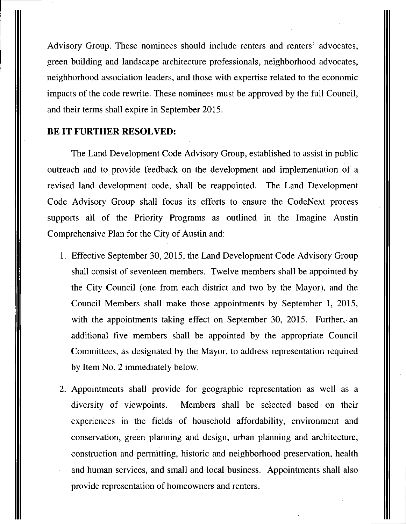Advisory Group. These nominees should include renters and renters' advocates, green building and landscape architecture professionals, neighborhood advocates, neighborhood association leaders, and those with expertise related to the economic impacts of the code rewrite. These nominees must be approved by the full Council, and their terms shall expire in September 2015.

## **BE IT FURTHER RESOLVED:**

The Land Development Code Advisory Group, established to assist in public outreach and to provide feedback on the development and implementation of a revised land development code, shall be reappointed. The Land Development Code Advisory Group shall focus its efforts to ensure the CodeNext process supports all of the Priority Programs as outlined in the Imagine Austin Comprehensive Plan for the City of Austin and:

- 1. Effective September 30, 2015, the Land Development Code Advisory Group shall consist of seventeen members. Twelve members shall be appointed by the City Council (one from each district and two by the Mayor), and the Council Members shall make those appointments by September 1, 2015, with the appointments taking effect on September 30, 2015. Further, an additional five members shall be appointed by the appropriate Council Committees, as designated by the Mayor, to address representation required by Item No. 2 immediately below.
- 2. Appointments shall provide for geographic representation as well as a diversity of viewpoints. Members shall be selected based on their experiences in the fields of household affordability, environment and conservation, green planning and design, urban planning and architecture, construction and permitting, historic and neighborhood preservation, health and human services, and small and local business. Appointments shall also provide representation of homeowners and renters.